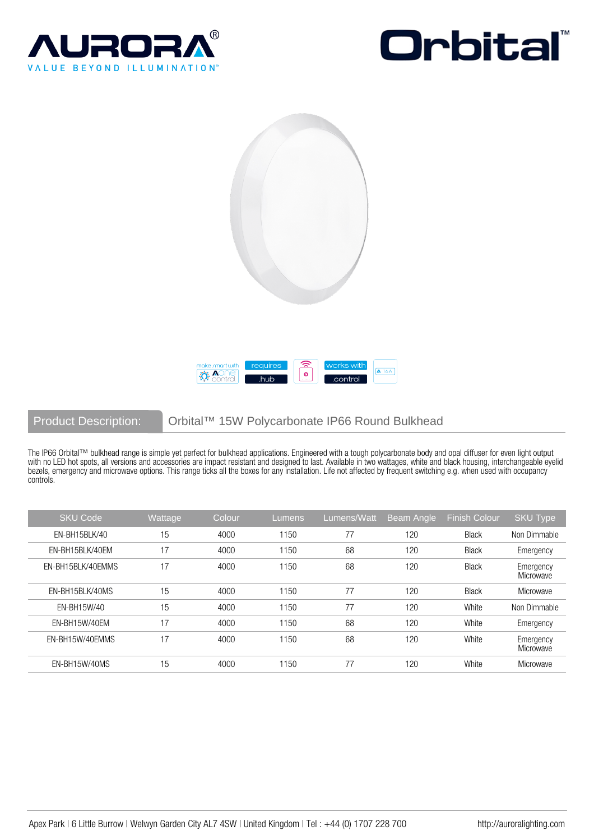





# Product Description: **Orbital™ 15W Polycarbonate IP66 Round Bulkhead**

The IP66 Orbital™ bulkhead range is simple yet perfect for bulkhead applications. Engineered with a tough polycarbonate body and opal diffuser for even light output with no LED hot spots, all versions and accessories are impact resistant and designed to last. Available in two wattages, white and black housing, interchangeable eyelid bezels, emergency and microwave options. This range ticks all the boxes for any installation. Life not affected by frequent switching e.g. when used with occupancy controls.

| <b>SKU Code</b>   | Wattage | Colour | 'Lumens, | Lumens/Watt | Beam Angle | <b>Finish Colour</b> | SKU Type               |
|-------------------|---------|--------|----------|-------------|------------|----------------------|------------------------|
| EN-BH15BLK/40     | 15      | 4000   | 1150     | 77          | 120        | <b>Black</b>         | Non Dimmable           |
| EN-BH15BLK/40EM   | 17      | 4000   | 1150     | 68          | 120        | <b>Black</b>         | Emergency              |
| EN-BH15BLK/40EMMS | 17      | 4000   | 1150     | 68          | 120        | <b>Black</b>         | Emergency<br>Microwave |
| EN-BH15BLK/40MS   | 15      | 4000   | 1150     | 77          | 120        | <b>Black</b>         | Microwave              |
| EN-BH15W/40       | 15      | 4000   | 1150     | 77          | 120        | White                | Non Dimmable           |
| EN-BH15W/40EM     | 17      | 4000   | 1150     | 68          | 120        | White                | Emergency              |
| EN-BH15W/40EMMS   | 17      | 4000   | 1150     | 68          | 120        | White                | Emergency<br>Microwave |
| EN-BH15W/40MS     | 15      | 4000   | 1150     | 77          | 120        | White                | Microwave              |